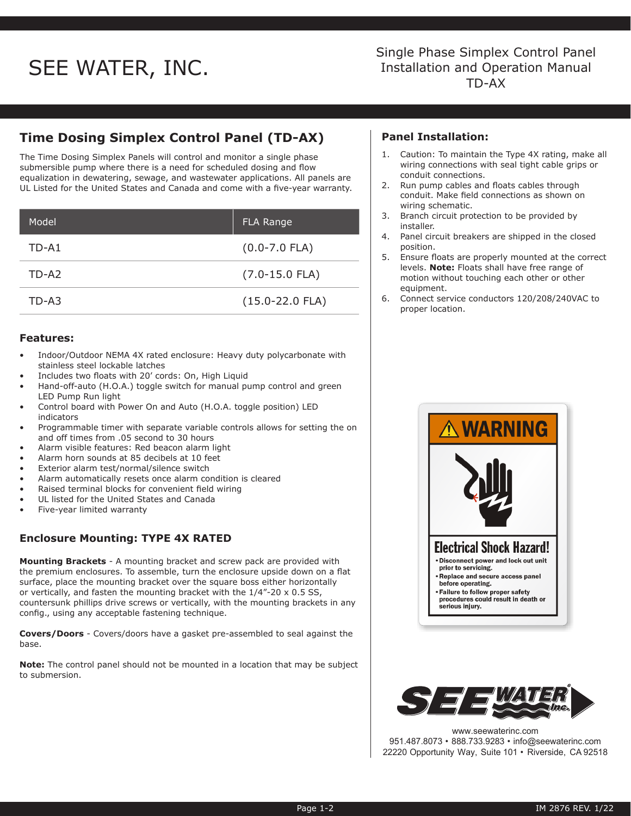# SEE WATER, INC.<br>TD-AX Installation and Ope

## Single Phase Simplex Control Panel Installation and Operation Manual

### **Time Dosing Simplex Control Panel (TD-AX)**

The Time Dosing Simplex Panels will control and monitor a single phase submersible pump where there is a need for scheduled dosing and flow equalization in dewatering, sewage, and wastewater applications. All panels are UL Listed for the United States and Canada and come with a five-year warranty.

| Model | <b>FLA Range</b>    |
|-------|---------------------|
| TD-A1 | $(0.0 - 7.0$ FLA)   |
| TD-A2 | $(7.0 - 15.0$ FLA)  |
| TD-A3 | $(15.0 - 22.0$ FLA) |

### **Features:**

- Indoor/Outdoor NEMA 4X rated enclosure: Heavy duty polycarbonate with stainless steel lockable latches
- Includes two floats with 20' cords: On, High Liquid
- Hand-off-auto (H.O.A.) toggle switch for manual pump control and green LED Pump Run light
- Control board with Power On and Auto (H.O.A. toggle position) LED indicators
- Programmable timer with separate variable controls allows for setting the on and off times from .05 second to 30 hours
- Alarm visible features: Red beacon alarm light
- Alarm horn sounds at 85 decibels at 10 feet
- Exterior alarm test/normal/silence switch
- Alarm automatically resets once alarm condition is cleared
- Raised terminal blocks for convenient field wiring
- UL listed for the United States and Canada
- Five-year limited warranty

### **Enclosure Mounting: TYPE 4X RATED**

**Mounting Brackets** - A mounting bracket and screw pack are provided with the premium enclosures. To assemble, turn the enclosure upside down on a flat surface, place the mounting bracket over the square boss either horizontally or vertically, and fasten the mounting bracket with the 1/4"-20 x 0.5 SS, countersunk phillips drive screws or vertically, with the mounting brackets in any config., using any acceptable fastening technique.

**Covers/Doors** - Covers/doors have a gasket pre-assembled to seal against the base.

**Note:** The control panel should not be mounted in a location that may be subject to submersion.

### **Panel Installation:**

- 1. Caution: To maintain the Type 4X rating, make all wiring connections with seal tight cable grips or conduit connections.
- 2. Run pump cables and floats cables through conduit. Make field connections as shown on wiring schematic.
- 3. Branch circuit protection to be provided by installer.
- 4. Panel circuit breakers are shipped in the closed position.
- 5. Ensure floats are properly mounted at the correct levels. **Note:** Floats shall have free range of motion without touching each other or other equipment.
- 6. Connect service conductors 120/208/240VAC to proper location.





www.seewaterinc.com 951.487.8073 • 888.733.9283 • info@seewaterinc.com 22220 Opportunity Way, Suite 101 • Riverside, CA 92518